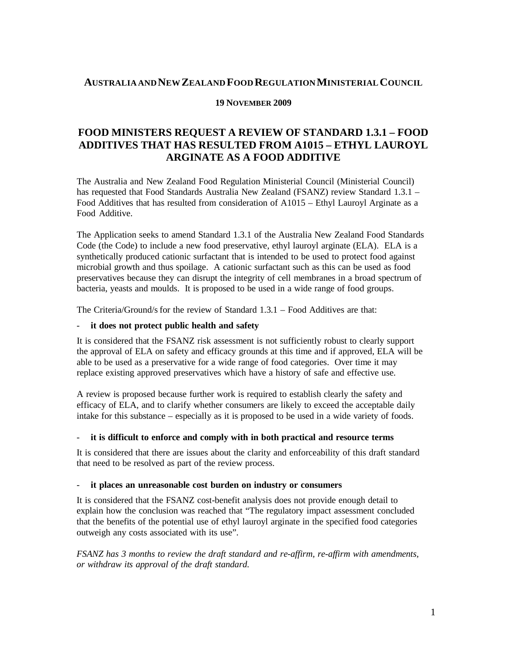## **AUSTRALIA ANDNEWZEALAND FOOD REGULATIONMINISTERIALCOUNCIL**

### **19 NOVEMBER 2009**

# **FOOD MINISTERS REQUEST A REVIEW OF STANDARD 1.3.1 – FOOD ADDITIVES THAT HAS RESULTED FROM A1015 – ETHYL LAUROYL ARGINATE AS A FOOD ADDITIVE**

The Australia and New Zealand Food Regulation Ministerial Council (Ministerial Council) has requested that Food Standards Australia New Zealand (FSANZ) review Standard 1.3.1 – Food Additives that has resulted from consideration of A1015 – Ethyl Lauroyl Arginate as a Food Additive.

The Application seeks to amend Standard 1.3.1 of the Australia New Zealand Food Standards Code (the Code) to include a new food preservative, ethyl lauroyl arginate (ELA). ELA is a synthetically produced cationic surfactant that is intended to be used to protect food against microbial growth and thus spoilage. A cationic surfactant such as this can be used as food preservatives because they can disrupt the integrity of cell membranes in a broad spectrum of bacteria, yeasts and moulds. It is proposed to be used in a wide range of food groups.

The Criteria/Ground/s for the review of Standard 1.3.1 – Food Additives are that:

#### - **it does not protect public health and safety**

It is considered that the FSANZ risk assessment is not sufficiently robust to clearly support the approval of ELA on safety and efficacy grounds at this time and if approved, ELA will be able to be used as a preservative for a wide range of food categories. Over time it may replace existing approved preservatives which have a history of safe and effective use.

A review is proposed because further work is required to establish clearly the safety and efficacy of ELA, and to clarify whether consumers are likely to exceed the acceptable daily intake for this substance – especially as it is proposed to be used in a wide variety of foods.

#### - **it is difficult to enforce and comply with in both practical and resource terms**

It is considered that there are issues about the clarity and enforceability of this draft standard that need to be resolved as part of the review process.

#### - **it places an unreasonable cost burden on industry or consumers**

It is considered that the FSANZ cost-benefit analysis does not provide enough detail to explain how the conclusion was reached that "The regulatory impact assessment concluded that the benefits of the potential use of ethyl lauroyl arginate in the specified food categories outweigh any costs associated with its use".

*FSANZ has 3 months to review the draft standard and re-affirm, re-affirm with amendments, or withdraw its approval of the draft standard.*